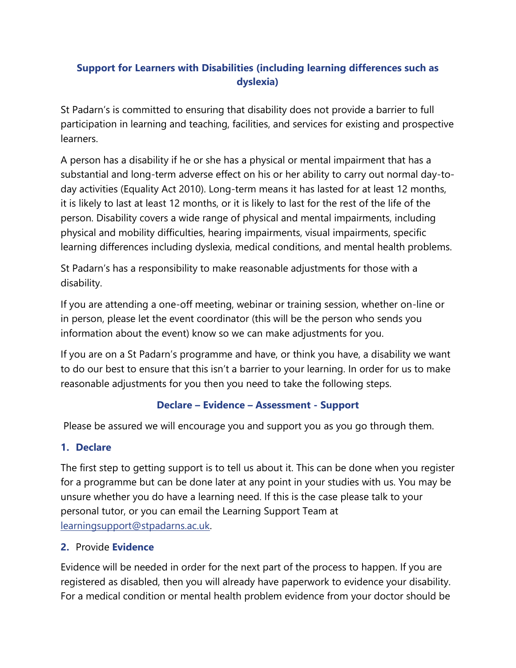# **Support for Learners with Disabilities (including learning differences such as dyslexia)**

St Padarn's is committed to ensuring that disability does not provide a barrier to full participation in learning and teaching, facilities, and services for existing and prospective learners.

A person has a disability if he or she has a physical or mental impairment that has a substantial and long-term adverse effect on his or her ability to carry out normal day-today activities (Equality Act 2010). Long-term means it has lasted for at least 12 months, it is likely to last at least 12 months, or it is likely to last for the rest of the life of the person. Disability covers a wide range of physical and mental impairments, including physical and mobility difficulties, hearing impairments, visual impairments, specific learning differences including dyslexia, medical conditions, and mental health problems.

St Padarn's has a responsibility to make reasonable adjustments for those with a disability.

If you are attending a one-off meeting, webinar or training session, whether on-line or in person, please let the event coordinator (this will be the person who sends you information about the event) know so we can make adjustments for you.

If you are on a St Padarn's programme and have, or think you have, a disability we want to do our best to ensure that this isn't a barrier to your learning. In order for us to make reasonable adjustments for you then you need to take the following steps.

### **Declare – Evidence – Assessment - Support**

Please be assured we will encourage you and support you as you go through them.

## **1. Declare**

The first step to getting support is to tell us about it. This can be done when you register for a programme but can be done later at any point in your studies with us. You may be unsure whether you do have a learning need. If this is the case please talk to your personal tutor, or you can email the Learning Support Team at [learningsupport@stpadarns.ac.uk.](mailto:learningsupport@stpadarns.ac.uk)

### **2.** Provide **Evidence**

Evidence will be needed in order for the next part of the process to happen. If you are registered as disabled, then you will already have paperwork to evidence your disability. For a medical condition or mental health problem evidence from your doctor should be